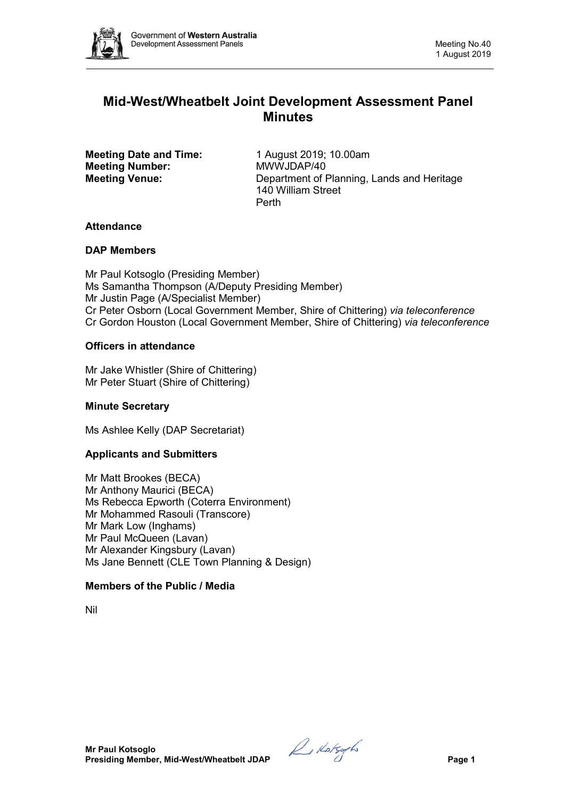

# **Mid-West/Wheatbelt Joint Development Assessment Panel Minutes**

**Meeting Date and Time:** 1 August 2019; 10.00am<br> **Meeting Number:** MWWJDAP/40 **Meeting Number:** 

**Meeting Venue:** Department of Planning, Lands and Heritage 140 William Street Perth

## **Attendance**

## **DAP Members**

Mr Paul Kotsoglo (Presiding Member) Ms Samantha Thompson (A/Deputy Presiding Member) Mr Justin Page (A/Specialist Member) Cr Peter Osborn (Local Government Member, Shire of Chittering) *via teleconference* Cr Gordon Houston (Local Government Member, Shire of Chittering) *via teleconference*

## **Officers in attendance**

Mr Jake Whistler (Shire of Chittering) Mr Peter Stuart (Shire of Chittering)

## **Minute Secretary**

Ms Ashlee Kelly (DAP Secretariat)

## **Applicants and Submitters**

Mr Matt Brookes (BECA) Mr Anthony Maurici (BECA) Ms Rebecca Epworth (Coterra Environment) Mr Mohammed Rasouli (Transcore) Mr Mark Low (Inghams) Mr Paul McQueen (Lavan) Mr Alexander Kingsbury (Lavan) Ms Jane Bennett (CLE Town Planning & Design)

## **Members of the Public / Media**

Nil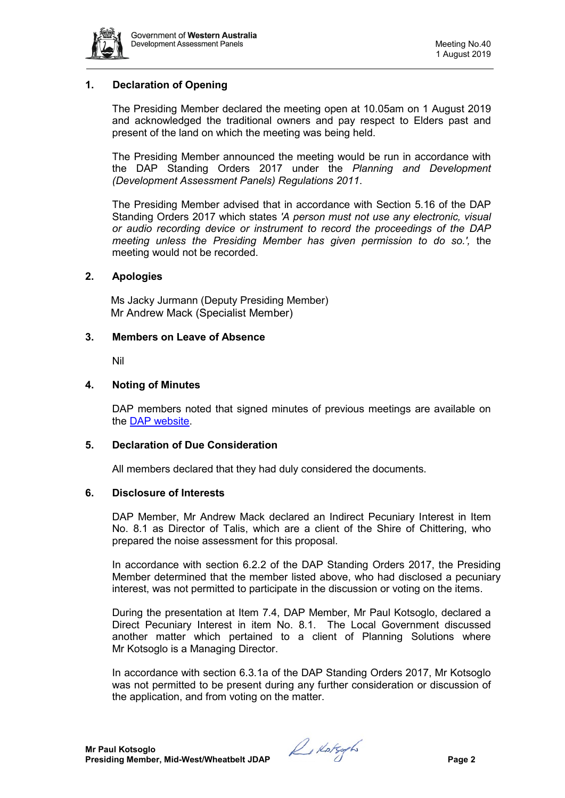

## **1. Declaration of Opening**

The Presiding Member declared the meeting open at 10.05am on 1 August 2019 and acknowledged the traditional owners and pay respect to Elders past and present of the land on which the meeting was being held.

The Presiding Member announced the meeting would be run in accordance with the DAP Standing Orders 2017 under the *Planning and Development (Development Assessment Panels) Regulations 2011*.

The Presiding Member advised that in accordance with Section 5.16 of the DAP Standing Orders 2017 which states *'A person must not use any electronic, visual or audio recording device or instrument to record the proceedings of the DAP meeting unless the Presiding Member has given permission to do so.',* the meeting would not be recorded.

#### **2. Apologies**

Ms Jacky Jurmann (Deputy Presiding Member) Mr Andrew Mack (Specialist Member)

#### **3. Members on Leave of Absence**

Nil

#### **4. Noting of Minutes**

DAP members noted that signed minutes of previous meetings are available on the [DAP website.](https://www.dplh.wa.gov.au/about/development-assessment-panels/daps-agendas-and-minutes)

#### **5. Declaration of Due Consideration**

All members declared that they had duly considered the documents.

#### **6. Disclosure of Interests**

DAP Member, Mr Andrew Mack declared an Indirect Pecuniary Interest in Item No. 8.1 as Director of Talis, which are a client of the Shire of Chittering, who prepared the noise assessment for this proposal.

In accordance with section 6.2.2 of the DAP Standing Orders 2017, the Presiding Member determined that the member listed above, who had disclosed a pecuniary interest, was not permitted to participate in the discussion or voting on the items.

During the presentation at Item 7.4, DAP Member, Mr Paul Kotsoglo, declared a Direct Pecuniary Interest in item No. 8.1. The Local Government discussed another matter which pertained to a client of Planning Solutions where Mr Kotsoglo is a Managing Director.

In accordance with section 6.3.1a of the DAP Standing Orders 2017, Mr Kotsoglo was not permitted to be present during any further consideration or discussion of the application, and from voting on the matter.